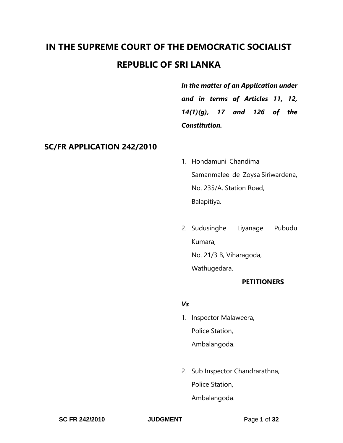# **IN THE SUPREME COURT OF THE DEMOCRATIC SOCIALIST REPUBLIC OF SRI LANKA**

*In the matter of an Application under and in terms of Articles 11, 12, 14(1)(g), 17 and 126 of the Constitution.* 

# **SC/FR APPLICATION 242/2010**

- 1. Hondamuni Chandima Samanmalee de Zoysa Siriwardena, No. 235/A, Station Road, Balapitiya.
- 2. Sudusinghe Liyanage Pubudu Kumara, No. 21/3 B, Viharagoda, Wathugedara.

## **PETITIONERS**

#### *Vs*

- 1. Inspector Malaweera, Police Station, Ambalangoda.
- 2. Sub Inspector Chandrarathna, Police Station, Ambalangoda.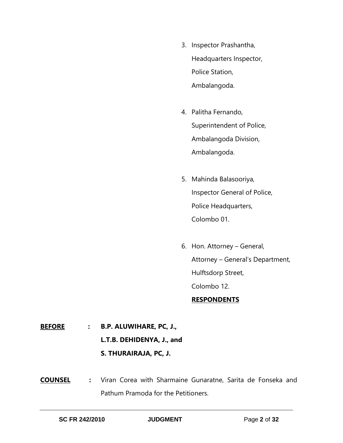- 3. Inspector Prashantha, Headquarters Inspector, Police Station, Ambalangoda.
- 4. Palitha Fernando, Superintendent of Police, Ambalangoda Division, Ambalangoda.
- 5. Mahinda Balasooriya, Inspector General of Police, Police Headquarters, Colombo 01.
- 6. Hon. Attorney General, Attorney – General's Department, Hulftsdorp Street, Colombo 12. **RESPONDENTS**

**BEFORE : B.P. ALUWIHARE, PC, J., L.T.B. DEHIDENYA, J., and S. THURAIRAJA, PC, J.** 

**COUNSEL :** Viran Corea with Sharmaine Gunaratne, Sarita de Fonseka and Pathum Pramoda for the Petitioners.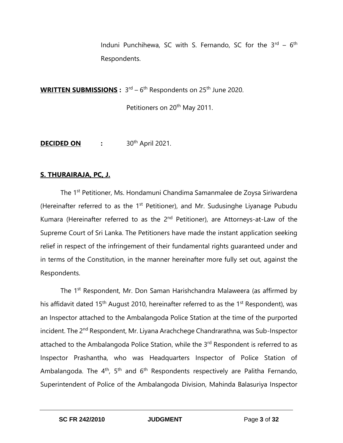Induni Punchihewa, SC with S. Fernando, SC for the 3<sup>rd</sup> – 6<sup>th</sup> Respondents.

WRITTEN SUBMISSIONS:  $3^{rd} - 6^{th}$  Respondents on 25<sup>th</sup> June 2020.

Petitioners on 20<sup>th</sup> May 2011.

**DECIDED ON :** 30th April 2021.

#### **S. THURAIRAJA, PC, J.**

The 1<sup>st</sup> Petitioner, Ms. Hondamuni Chandima Samanmalee de Zoysa Siriwardena (Hereinafter referred to as the  $1<sup>st</sup>$  Petitioner), and Mr. Sudusinghe Liyanage Pubudu Kumara (Hereinafter referred to as the 2<sup>nd</sup> Petitioner), are Attorneys-at-Law of the Supreme Court of Sri Lanka. The Petitioners have made the instant application seeking relief in respect of the infringement of their fundamental rights guaranteed under and in terms of the Constitution, in the manner hereinafter more fully set out, against the Respondents.

The 1<sup>st</sup> Respondent, Mr. Don Saman Harishchandra Malaweera (as affirmed by his affidavit dated 15<sup>th</sup> August 2010, hereinafter referred to as the 1<sup>st</sup> Respondent), was an Inspector attached to the Ambalangoda Police Station at the time of the purported incident. The 2<sup>nd</sup> Respondent, Mr. Liyana Arachchege Chandrarathna, was Sub-Inspector attached to the Ambalangoda Police Station, while the 3<sup>rd</sup> Respondent is referred to as Inspector Prashantha, who was Headquarters Inspector of Police Station of Ambalangoda. The 4<sup>th</sup>, 5<sup>th</sup> and 6<sup>th</sup> Respondents respectively are Palitha Fernando, Superintendent of Police of the Ambalangoda Division, Mahinda Balasuriya Inspector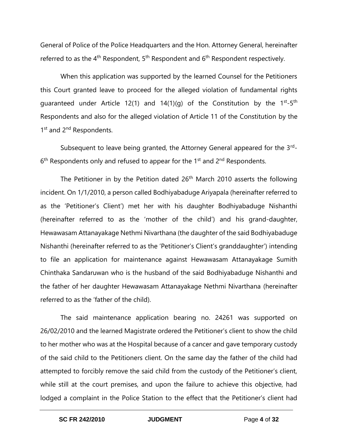General of Police of the Police Headquarters and the Hon. Attorney General, hereinafter referred to as the  $4<sup>th</sup>$  Respondent,  $5<sup>th</sup>$  Respondent and  $6<sup>th</sup>$  Respondent respectively.

When this application was supported by the learned Counsel for the Petitioners this Court granted leave to proceed for the alleged violation of fundamental rights guaranteed under Article 12(1) and 14(1)(g) of the Constitution by the 1<sup>st</sup>-5<sup>th</sup> Respondents and also for the alleged violation of Article 11 of the Constitution by the 1<sup>st</sup> and 2<sup>nd</sup> Respondents.

Subsequent to leave being granted, the Attorney General appeared for the 3<sup>rd</sup>-6<sup>th</sup> Respondents only and refused to appear for the 1<sup>st</sup> and 2<sup>nd</sup> Respondents.

The Petitioner in by the Petition dated  $26<sup>th</sup>$  March 2010 asserts the following incident. On 1/1/2010, a person called Bodhiyabaduge Ariyapala (hereinafter referred to as the 'Petitioner's Client') met her with his daughter Bodhiyabaduge Nishanthi (hereinafter referred to as the 'mother of the child') and his grand-daughter, Hewawasam Attanayakage Nethmi Nivarthana (the daughter of the said Bodhiyabaduge Nishanthi (hereinafter referred to as the 'Petitioner's Client's granddaughter') intending to file an application for maintenance against Hewawasam Attanayakage Sumith Chinthaka Sandaruwan who is the husband of the said Bodhiyabaduge Nishanthi and the father of her daughter Hewawasam Attanayakage Nethmi Nivarthana (hereinafter referred to as the 'father of the child).

The said maintenance application bearing no. 24261 was supported on 26/02/2010 and the learned Magistrate ordered the Petitioner's client to show the child to her mother who was at the Hospital because of a cancer and gave temporary custody of the said child to the Petitioners client. On the same day the father of the child had attempted to forcibly remove the said child from the custody of the Petitioner's client, while still at the court premises, and upon the failure to achieve this objective, had lodged a complaint in the Police Station to the effect that the Petitioner's client had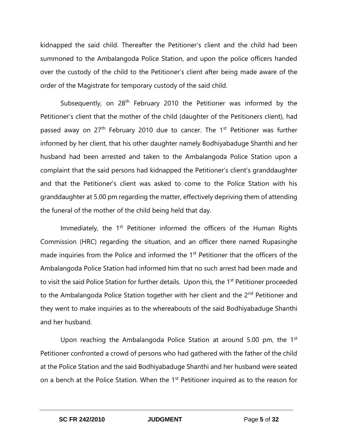kidnapped the said child. Thereafter the Petitioner's client and the child had been summoned to the Ambalangoda Police Station, and upon the police officers handed over the custody of the child to the Petitioner's client after being made aware of the order of the Magistrate for temporary custody of the said child.

Subsequently, on  $28<sup>th</sup>$  February 2010 the Petitioner was informed by the Petitioner's client that the mother of the child (daughter of the Petitioners client), had passed away on  $27<sup>th</sup>$  February 2010 due to cancer. The  $1<sup>st</sup>$  Petitioner was further informed by her client, that his other daughter namely Bodhiyabaduge Shanthi and her husband had been arrested and taken to the Ambalangoda Police Station upon a complaint that the said persons had kidnapped the Petitioner's client's granddaughter and that the Petitioner's client was asked to come to the Police Station with his granddaughter at 5.00 pm regarding the matter, effectively depriving them of attending the funeral of the mother of the child being held that day.

Immediately, the 1<sup>st</sup> Petitioner informed the officers of the Human Rights Commission (HRC) regarding the situation, and an officer there named Rupasinghe made inquiries from the Police and informed the 1<sup>st</sup> Petitioner that the officers of the Ambalangoda Police Station had informed him that no such arrest had been made and to visit the said Police Station for further details. Upon this, the 1<sup>st</sup> Petitioner proceeded to the Ambalangoda Police Station together with her client and the 2<sup>nd</sup> Petitioner and they went to make inquiries as to the whereabouts of the said Bodhiyabaduge Shanthi and her husband.

Upon reaching the Ambalangoda Police Station at around 5.00 pm, the  $1<sup>st</sup>$ Petitioner confronted a crowd of persons who had gathered with the father of the child at the Police Station and the said Bodhiyabaduge Shanthi and her husband were seated on a bench at the Police Station. When the 1<sup>st</sup> Petitioner inquired as to the reason for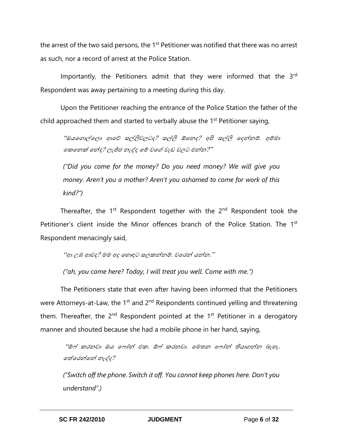the arrest of the two said persons, the 1<sup>st</sup> Petitioner was notified that there was no arrest as such, nor a record of arrest at the Police Station.

Importantly, the Petitioners admit that they were informed that the 3<sup>rd</sup> Respondent was away pertaining to a meeting during this day.

Upon the Petitioner reaching the entrance of the Police Station the father of the child approached them and started to verbally abuse the 1<sup>st</sup> Petitioner saying,

"ඔයගොල්ලො ආවේ සල්ලිවලටද? සල්ලි ඕනෙද? අපි සල්ලි දෙන්නම්. අම්මා ගකනෙක් නේද? ලැජ්ජ නැද්ද මේ වගේ වැඩ වලට එන්න?''

*("Did you come for the money? Do you need money? We will give you money. Aren't you a mother? Aren't you ashamed to come for work of this kind?")*

Thereafter, the  $1<sup>st</sup>$  Respondent together with the  $2<sup>nd</sup>$  Respondent took the Petitioner's client inside the Minor offences branch of the Police Station. The 1<sup>st</sup> Respondent menacingly said,

"ආ උඹ ආවද? මම අද හොඳට සලකන්නම්. වරෙන් යන්න."

*("ah, you came here? Today, I will treat you well. Come with me.")*

The Petitioners state that even after having been informed that the Petitioners were Attorneys-at-Law, the 1<sup>st</sup> and 2<sup>nd</sup> Respondents continued yelling and threatening them. Thereafter, the  $2^{nd}$  Respondent pointed at the  $1^{st}$  Petitioner in a derogatory manner and shouted because she had a mobile phone in her hand, saying,

"ඕෆ් කරනවා ඔය ෆෝන් එක. ඕෆ් කරනවා. මෙතන ෆෝන් තියාගන්න බැහැ. ගේගෙන්ගන් ෙැද්ද?

*("Switch off the phone. Switch it off. You cannot keep phones here. Don't you understand".)*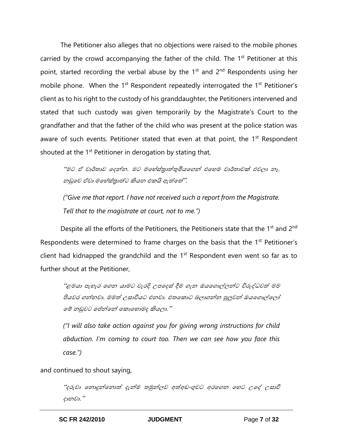The Petitioner also alleges that no objections were raised to the mobile phones carried by the crowd accompanying the father of the child. The  $1<sup>st</sup>$  Petitioner at this point, started recording the verbal abuse by the  $1<sup>st</sup>$  and  $2<sup>nd</sup>$  Respondents using her mobile phone. When the 1<sup>st</sup> Respondent repeatedly interrogated the 1<sup>st</sup> Petitioner's client as to his right to the custody of his granddaughter, the Petitioners intervened and stated that such custody was given temporarily by the Magistrate's Court to the grandfather and that the father of the child who was present at the police station was aware of such events. Petitioner stated that even at that point, the 1<sup>st</sup> Respondent shouted at the  $1<sup>st</sup>$  Petitioner in derogation by stating that,

"මට ඒ වාර්තාව ඉදන්න. මට මහේස්තුාත්තුමියගෙන් එහෙම වාර්තාවක් එවලා නෑ. නඩුවෙ ඒවා මහේස්තාත්ට කියන එකයි ඇත්තේ'''.

*("Give me that report. I have not received such a report from the Magistrate. Tell that to the magistrate at court, not to me.")*

Despite all the efforts of the Petitioners, the Petitioners state that the 1<sup>st</sup> and 2<sup>nd</sup> Respondents were determined to frame charges on the basis that the 1<sup>st</sup> Petitioner's client had kidnapped the grandchild and the  $1<sup>st</sup>$  Respondent even went so far as to further shout at the Petitioner,

"ළමයා පැහැර ගෙන යාමට වැරදි උපදෙස් දීම ගැන ඔයගොල්ලන්ට විරුද්ධවත් මම පියවර ගන්නවා. මමත් උසාවියට එනවා. එතකොට බලාගන්න පුලුවන් ඔයගොල්ලෝ මේ නඩුවට පේන්නේ කොහොමද කියලා.''

*("I will also take action against you for giving wrong instructions for child abduction. I'm coming to court too. Then we can see how you face this case.")*

and continued to shout saying,

"දරුවා නොදුන්නොත් දැන්ම තමුන්ලව අත්අඩංගුවට අරගෙන හෙට උදේ උසාවි ොනවා."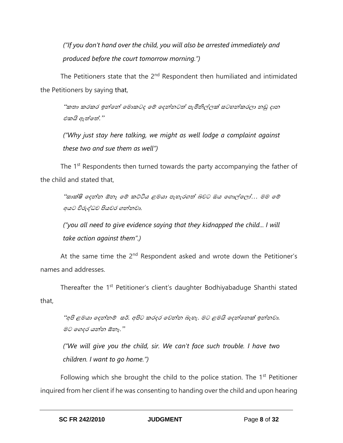*("If you don't hand over the child, you will also be arrested immediately and produced before the court tomorrow morning.")*

The Petitioners state that the  $2<sup>nd</sup>$  Respondent then humiliated and intimidated the Petitioners by saying that,

"කතා කරකර ඉන්නේ මොකටද මේ දෙන්නටත් පැමිනිල්ලක් සටහන්කරලා නඩු දාන එකයි ඇත්තේ. "

*("Why just stay here talking, we might as well lodge a complaint against these two and sue them as well")*

The 1<sup>st</sup> Respondents then turned towards the party accompanying the father of the child and stated that,

"සාක්ෂි දෙන්න ඕනෑ මේ කට්ටිය ළමයා පැහැරගත් බවට ඔය ගොල්ලෝ… මම මේ අයට විරුද්ධව පියවර ෙන්නවා.

*("you all need to give evidence saying that they kidnapped the child... I will take action against them".)*

At the same time the  $2<sup>nd</sup>$  Respondent asked and wrote down the Petitioner's names and addresses.

Thereafter the 1<sup>st</sup> Petitioner's client's daughter Bodhiyabaduge Shanthi stated that,

"අපි ළමයා දෙන්නම් සර්. අපිට කරදර වෙන්න බැහැ. මට ළමයි දෙන්නෙක් ඉන්නවා. මට දෙෙර යන්න ඕනෑ."

*("We will give you the child, sir. We can't face such trouble. I have two children. I want to go home.")*

Following which she brought the child to the police station. The  $1<sup>st</sup>$  Petitioner inquired from her client if he was consenting to handing over the child and upon hearing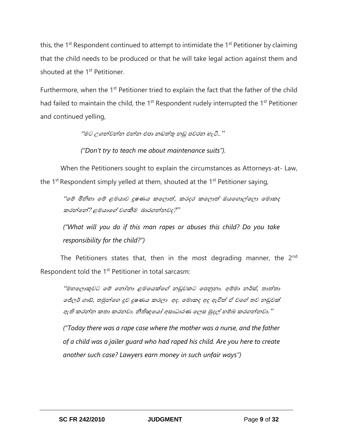this, the 1<sup>st</sup> Respondent continued to attempt to intimidate the 1<sup>st</sup> Petitioner by claiming that the child needs to be produced or that he will take legal action against them and shouted at the 1<sup>st</sup> Petitioner.

Furthermore, when the 1<sup>st</sup> Petitioner tried to explain the fact that the father of the child had failed to maintain the child, the  $1<sup>st</sup>$  Respondent rudely interrupted the  $1<sup>st</sup>$  Petitioner and continued yelling,

"මට උෙන්වන්න එන්න එපා නඩත්තු නඩු පවරන ැි.."

*("Don't try to teach me about maintenance suits").*

When the Petitioners sought to explain the circumstances as Attorneys-at- Law, the  $1^{st}$  Respondent simply yelled at them, shouted at the  $1^{st}$  Petitioner saying,

"මේ මිනිහා මේ ළමයාව දූෂණය කලලාත්, කරදර කලොත් ඔයගොල්ලො මොකද කරන්දන්? ළමයාදේ වෙකීම බාරෙන්නවෙ?"

*("What will you do if this man rapes or abuses this child? Do you take responsibility for the child?")* 

The Petitioners states that, then in the most degrading manner, the 2<sup>nd</sup> Respondent told the  $1<sup>st</sup>$  Petitioner in total sarcasm:

"මහලොකුවට මේ නෝනා ළමයෙක්ගේ නඩුවකට පෙනුනා. අම්මා නර්ස්, තාත්තා ලජ්ලර් ගාඩ්, තමුන්ලග දූව දූෂණය කරලා අද. මොකද අද ඇවිත් ඒ වගේ තව නඩුවක් ඇති කරන්න කතා කරනවා. නීතිඥයෝ අසාධාරණ ලෙස මුදල් හම්බ කරගන්නවා."

*("Today there was a rape case where the mother was a nurse, and the father of a child was a jailer guard who had raped his child. Are you here to create another such case? Lawyers earn money in such unfair ways")*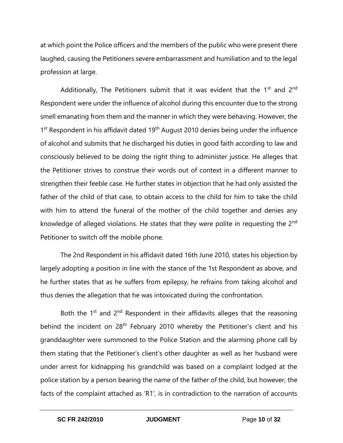at which point the Police officers and the members of the public who were present there laughed, causing the Petitioners severe embarrassment and humiliation and to the legal profession at large.

Additionally, The Petitioners submit that it was evident that the  $1<sup>st</sup>$  and  $2<sup>nd</sup>$ Respondent were under the influence of alcohol during this encounter due to the strong smell emanating from them and the manner in which they were behaving. However, the 1<sup>st</sup> Respondent in his affidavit dated 19<sup>th</sup> August 2010 denies being under the influence of alcohol and submits that he discharged his duties in good faith according to law and consciously believed to be doing the right thing to administer justice. He alleges that the Petitioner strives to construe their words out of context in a different manner to strengthen their feeble case. He further states in objection that he had only assisted the father of the child of that case, to obtain access to the child for him to take the child with him to attend the funeral of the mother of the child together and denies any knowledge of alleged violations. He states that they were polite in requesting the 2<sup>nd</sup> Petitioner to switch off the mobile phone.

The 2nd Respondent in his affidavit dated 16th June 2010, states his objection by largely adopting a position in line with the stance of the 1st Respondent as above, and he further states that as he suffers from epilepsy, he refrains from taking alcohol and thus denies the allegation that he was intoxicated during the confrontation.

Both the  $1<sup>st</sup>$  and  $2<sup>nd</sup>$  Respondent in their affidavits alleges that the reasoning behind the incident on 28<sup>th</sup> February 2010 whereby the Petitioner's client and his granddaughter were summoned to the Police Station and the alarming phone call by them stating that the Petitioner's client's other daughter as well as her husband were under arrest for kidnapping his grandchild was based on a complaint lodged at the police station by a person bearing the name of the father of the child, but however, the facts of the complaint attached as 'R1', is in contradiction to the narration of accounts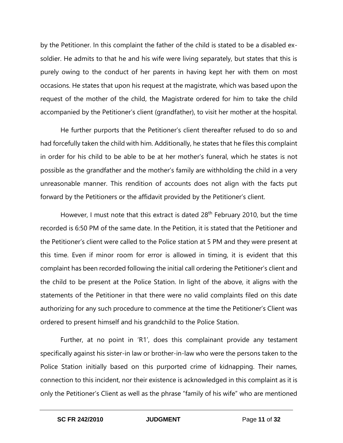by the Petitioner. In this complaint the father of the child is stated to be a disabled exsoldier. He admits to that he and his wife were living separately, but states that this is purely owing to the conduct of her parents in having kept her with them on most occasions. He states that upon his request at the magistrate, which was based upon the request of the mother of the child, the Magistrate ordered for him to take the child accompanied by the Petitioner's client (grandfather), to visit her mother at the hospital.

He further purports that the Petitioner's client thereafter refused to do so and had forcefully taken the child with him. Additionally, he states that he files this complaint in order for his child to be able to be at her mother's funeral, which he states is not possible as the grandfather and the mother's family are withholding the child in a very unreasonable manner. This rendition of accounts does not align with the facts put forward by the Petitioners or the affidavit provided by the Petitioner's client.

However, I must note that this extract is dated 28<sup>th</sup> February 2010, but the time recorded is 6:50 PM of the same date. In the Petition, it is stated that the Petitioner and the Petitioner's client were called to the Police station at 5 PM and they were present at this time. Even if minor room for error is allowed in timing, it is evident that this complaint has been recorded following the initial call ordering the Petitioner's client and the child to be present at the Police Station. In light of the above, it aligns with the statements of the Petitioner in that there were no valid complaints filed on this date authorizing for any such procedure to commence at the time the Petitioner's Client was ordered to present himself and his grandchild to the Police Station.

Further, at no point in 'R1', does this complainant provide any testament specifically against his sister-in law or brother-in-law who were the persons taken to the Police Station initially based on this purported crime of kidnapping. Their names, connection to this incident, nor their existence is acknowledged in this complaint as it is only the Petitioner's Client as well as the phrase "family of his wife" who are mentioned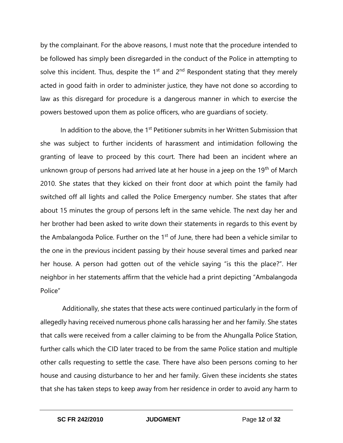by the complainant. For the above reasons, I must note that the procedure intended to be followed has simply been disregarded in the conduct of the Police in attempting to solve this incident. Thus, despite the  $1<sup>st</sup>$  and  $2<sup>nd</sup>$  Respondent stating that they merely acted in good faith in order to administer justice, they have not done so according to law as this disregard for procedure is a dangerous manner in which to exercise the powers bestowed upon them as police officers, who are guardians of society.

In addition to the above, the  $1<sup>st</sup>$  Petitioner submits in her Written Submission that she was subject to further incidents of harassment and intimidation following the granting of leave to proceed by this court. There had been an incident where an unknown group of persons had arrived late at her house in a jeep on the 19<sup>th</sup> of March 2010. She states that they kicked on their front door at which point the family had switched off all lights and called the Police Emergency number. She states that after about 15 minutes the group of persons left in the same vehicle. The next day her and her brother had been asked to write down their statements in regards to this event by the Ambalangoda Police. Further on the  $1<sup>st</sup>$  of June, there had been a vehicle similar to the one in the previous incident passing by their house several times and parked near her house. A person had gotten out of the vehicle saying "is this the place?". Her neighbor in her statements affirm that the vehicle had a print depicting "Ambalangoda Police"

Additionally, she states that these acts were continued particularly in the form of allegedly having received numerous phone calls harassing her and her family. She states that calls were received from a caller claiming to be from the Ahungalla Police Station, further calls which the CID later traced to be from the same Police station and multiple other calls requesting to settle the case. There have also been persons coming to her house and causing disturbance to her and her family. Given these incidents she states that she has taken steps to keep away from her residence in order to avoid any harm to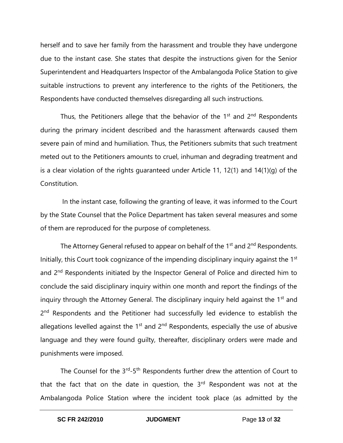herself and to save her family from the harassment and trouble they have undergone due to the instant case. She states that despite the instructions given for the Senior Superintendent and Headquarters Inspector of the Ambalangoda Police Station to give suitable instructions to prevent any interference to the rights of the Petitioners, the Respondents have conducted themselves disregarding all such instructions.

Thus, the Petitioners allege that the behavior of the  $1<sup>st</sup>$  and  $2<sup>nd</sup>$  Respondents during the primary incident described and the harassment afterwards caused them severe pain of mind and humiliation. Thus, the Petitioners submits that such treatment meted out to the Petitioners amounts to cruel, inhuman and degrading treatment and is a clear violation of the rights guaranteed under Article 11, 12(1) and 14(1)(g) of the Constitution.

In the instant case, following the granting of leave, it was informed to the Court by the State Counsel that the Police Department has taken several measures and some of them are reproduced for the purpose of completeness.

The Attorney General refused to appear on behalf of the  $1<sup>st</sup>$  and  $2<sup>nd</sup>$  Respondents. Initially, this Court took cognizance of the impending disciplinary inquiry against the 1<sup>st</sup> and 2<sup>nd</sup> Respondents initiated by the Inspector General of Police and directed him to conclude the said disciplinary inquiry within one month and report the findings of the inquiry through the Attorney General. The disciplinary inquiry held against the 1<sup>st</sup> and 2<sup>nd</sup> Respondents and the Petitioner had successfully led evidence to establish the allegations levelled against the  $1<sup>st</sup>$  and  $2<sup>nd</sup>$  Respondents, especially the use of abusive language and they were found guilty, thereafter, disciplinary orders were made and punishments were imposed.

The Counsel for the 3<sup>rd</sup>-5<sup>th</sup> Respondents further drew the attention of Court to that the fact that on the date in question, the  $3<sup>rd</sup>$  Respondent was not at the Ambalangoda Police Station where the incident took place (as admitted by the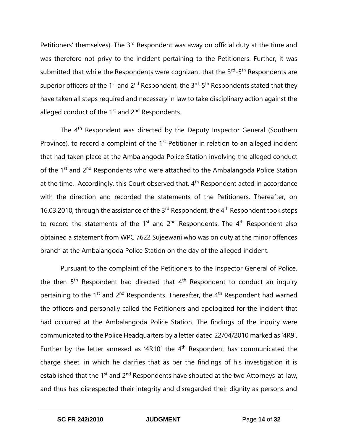Petitioners' themselves). The 3<sup>rd</sup> Respondent was away on official duty at the time and was therefore not privy to the incident pertaining to the Petitioners. Further, it was submitted that while the Respondents were cognizant that the  $3^{\text{rd}}$ -5<sup>th</sup> Respondents are superior officers of the 1<sup>st</sup> and 2<sup>nd</sup> Respondent, the 3<sup>rd</sup>-5<sup>th</sup> Respondents stated that they have taken all steps required and necessary in law to take disciplinary action against the alleged conduct of the  $1<sup>st</sup>$  and  $2<sup>nd</sup>$  Respondents.

The 4<sup>th</sup> Respondent was directed by the Deputy Inspector General (Southern Province), to record a complaint of the 1<sup>st</sup> Petitioner in relation to an alleged incident that had taken place at the Ambalangoda Police Station involving the alleged conduct of the 1<sup>st</sup> and 2<sup>nd</sup> Respondents who were attached to the Ambalangoda Police Station at the time. Accordingly, this Court observed that,  $4<sup>th</sup>$  Respondent acted in accordance with the direction and recorded the statements of the Petitioners. Thereafter, on 16.03.2010, through the assistance of the 3<sup>rd</sup> Respondent, the 4<sup>th</sup> Respondent took steps to record the statements of the 1<sup>st</sup> and 2<sup>nd</sup> Respondents. The  $4<sup>th</sup>$  Respondent also obtained a statement from WPC 7622 Sujeewani who was on duty at the minor offences branch at the Ambalangoda Police Station on the day of the alleged incident.

Pursuant to the complaint of the Petitioners to the Inspector General of Police, the then  $5<sup>th</sup>$  Respondent had directed that  $4<sup>th</sup>$  Respondent to conduct an inquiry pertaining to the 1<sup>st</sup> and 2<sup>nd</sup> Respondents. Thereafter, the 4<sup>th</sup> Respondent had warned the officers and personally called the Petitioners and apologized for the incident that had occurred at the Ambalangoda Police Station. The findings of the inquiry were communicated to the Police Headquarters by a letter dated 22/04/2010 marked as '4R9'. Further by the letter annexed as '4R10' the  $4<sup>th</sup>$  Respondent has communicated the charge sheet, in which he clarifies that as per the findings of his investigation it is established that the 1<sup>st</sup> and 2<sup>nd</sup> Respondents have shouted at the two Attorneys-at-law, and thus has disrespected their integrity and disregarded their dignity as persons and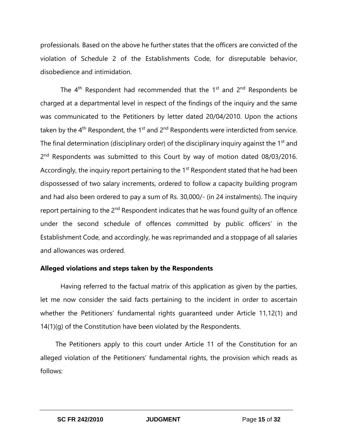professionals. Based on the above he further states that the officers are convicted of the violation of Schedule 2 of the Establishments Code, for disreputable behavior, disobedience and intimidation.

The  $4<sup>th</sup>$  Respondent had recommended that the 1<sup>st</sup> and 2<sup>nd</sup> Respondents be charged at a departmental level in respect of the findings of the inquiry and the same was communicated to the Petitioners by letter dated 20/04/2010. Upon the actions taken by the  $4<sup>th</sup>$  Respondent, the 1<sup>st</sup> and 2<sup>nd</sup> Respondents were interdicted from service. The final determination (disciplinary order) of the disciplinary inquiry against the 1<sup>st</sup> and 2<sup>nd</sup> Respondents was submitted to this Court by way of motion dated 08/03/2016. Accordingly, the inquiry report pertaining to the  $1<sup>st</sup>$  Respondent stated that he had been dispossessed of two salary increments, ordered to follow a capacity building program and had also been ordered to pay a sum of Rs. 30,000/- (in 24 instalments). The inquiry report pertaining to the 2<sup>nd</sup> Respondent indicates that he was found quilty of an offence under the second schedule of offences committed by public officers' in the Establishment Code, and accordingly, he was reprimanded and a stoppage of all salaries and allowances was ordered.

#### **Alleged violations and steps taken by the Respondents**

Having referred to the factual matrix of this application as given by the parties, let me now consider the said facts pertaining to the incident in order to ascertain whether the Petitioners' fundamental rights guaranteed under Article 11,12(1) and 14(1)(g) of the Constitution have been violated by the Respondents.

The Petitioners apply to this court under Article 11 of the Constitution for an alleged violation of the Petitioners' fundamental rights, the provision which reads as follows: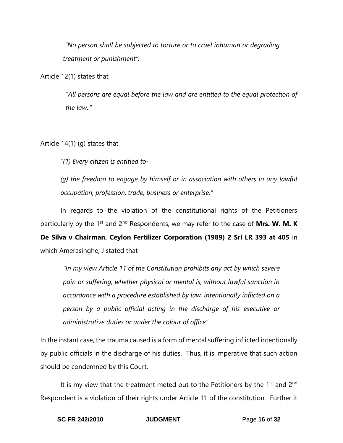*"No person shall be subjected to torture or to cruel inhuman or degrading treatment or punishment".*

Article 12(1) states that,

"*All persons are equal before the law and are entitled to the equal protection of the law*.."

Article 14(1) (g) states that,

*"(1) Every citizen is entitled to-*

*(g) the freedom to engage by himself or in association with others in any lawful occupation, profession, trade, business or enterprise."*

In regards to the violation of the constitutional rights of the Petitioners particularly by the 1<sup>st</sup> and 2<sup>nd</sup> Respondents, we may refer to the case of Mrs. W. M. K **De Silva v Chairman, Ceylon Fertilizer Corporation (1989) 2 Sri LR 393 at 405** in

which Amerasinghe, J stated that

*"In my view Article 11 of the Constitution prohibits any act by which severe pain or suffering, whether physical or mental is, without lawful sanction in accordance with a procedure established by law, intentionally inflicted on a person by a public official acting in the discharge of his executive or administrative duties or under the colour of office"*

In the instant case, the trauma caused is a form of mental suffering inflicted intentionally by public officials in the discharge of his duties. Thus, it is imperative that such action should be condemned by this Court.

It is my view that the treatment meted out to the Petitioners by the  $1<sup>st</sup>$  and  $2<sup>nd</sup>$ Respondent is a violation of their rights under Article 11 of the constitution. Further it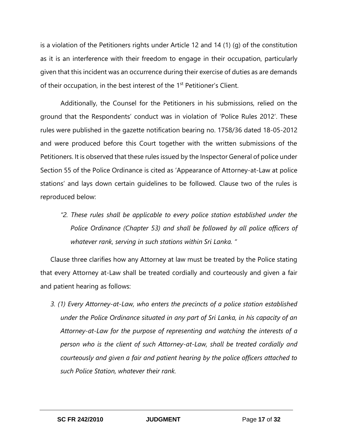is a violation of the Petitioners rights under Article 12 and 14 (1) (g) of the constitution as it is an interference with their freedom to engage in their occupation, particularly given that this incident was an occurrence during their exercise of duties as are demands of their occupation, in the best interest of the 1<sup>st</sup> Petitioner's Client.

Additionally, the Counsel for the Petitioners in his submissions, relied on the ground that the Respondents' conduct was in violation of 'Police Rules 2012'. These rules were published in the gazette notification bearing no. 1758/36 dated 18-05-2012 and were produced before this Court together with the written submissions of the Petitioners. It is observed that these rules issued by the Inspector General of police under Section 55 of the Police Ordinance is cited as 'Appearance of Attorney-at-Law at police stations' and lays down certain guidelines to be followed. Clause two of the rules is reproduced below:

*"2. These rules shall be applicable to every police station established under the Police Ordinance (Chapter 53) and shall be followed by all police officers of whatever rank, serving in such stations within Sri Lanka. "*

Clause three clarifies how any Attorney at law must be treated by the Police stating that every Attorney at-Law shall be treated cordially and courteously and given a fair and patient hearing as follows:

*3. (1) Every Attorney-at-Law, who enters the precincts of a police station established under the Police Ordinance situated in any part of Sri Lanka, in his capacity of an Attorney-at-Law for the purpose of representing and watching the interests of a person who is the client of such Attorney-at-Law, shall be treated cordially and courteously and given a fair and patient hearing by the police officers attached to such Police Station, whatever their rank.*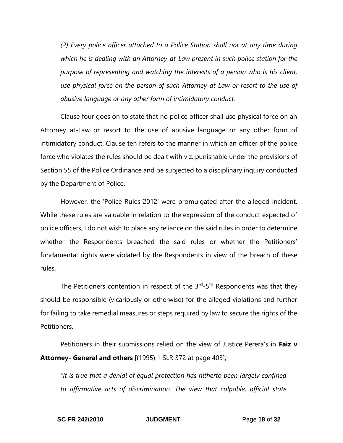*(2) Every police officer attached to a Police Station shall not at any time during which he is dealing with an Attorney-at-Law present in such police station for the purpose of representing and watching the interests of a person who is his client, use physical force on the person of such Attorney-at-Law or resort to the use of abusive language or any other form of intimidatory conduct.* 

Clause four goes on to state that no police officer shall use physical force on an Attorney at-Law or resort to the use of abusive language or any other form of intimidatory conduct. Clause ten refers to the manner in which an officer of the police force who violates the rules should be dealt with viz. punishable under the provisions of Section 55 of the Police Ordinance and be subjected to a disciplinary inquiry conducted by the Department of Police.

However, the 'Police Rules 2012' were promulgated after the alleged incident. While these rules are valuable in relation to the expression of the conduct expected of police officers, I do not wish to place any reliance on the said rules in order to determine whether the Respondents breached the said rules or whether the Petitioners' fundamental rights were violated by the Respondents in view of the breach of these rules.

The Petitioners contention in respect of the  $3<sup>rd</sup>-5<sup>th</sup>$  Respondents was that they should be responsible (vicariously or otherwise) for the alleged violations and further for failing to take remedial measures or steps required by law to secure the rights of the Petitioners.

Petitioners in their submissions relied on the view of Justice Perera's in **Faiz v Attorney- General and others** [(1995) 1 SLR 372 at page 403];

*"It is true that a denial of equal protection has hitherto been largely confined to affirmative acts of discrimination. The view that culpable, official state*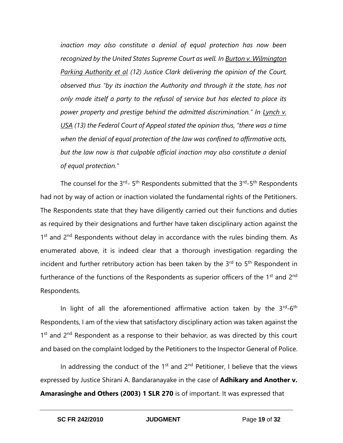*inaction may also constitute a denial of equal protection has now been recognized by the United States Supreme Court as well. In Burton v. Wilmington Parking Authority et al (12) Justice Clark delivering the opinion of the Court, observed thus "by its inaction the Authority and through it the state, has not only made itself a party to the refusal of service but has elected to place its power property and prestige behind the admitted discrimination." In Lynch v. USA (13) the Federal Court of Appeal stated the opinion thus, "there was a time when the denial of equal protection of the law was confined to affirmative acts,*  but the law now is that culpable official inaction may also constitute a denial *of equal protection."*

The counsel for the  $3^{\text{rd}}$ - 5<sup>th</sup> Respondents submitted that the  $3^{\text{rd}}$ -5<sup>th</sup> Respondents had not by way of action or inaction violated the fundamental rights of the Petitioners. The Respondents state that they have diligently carried out their functions and duties as required by their designations and further have taken disciplinary action against the 1<sup>st</sup> and 2<sup>nd</sup> Respondents without delay in accordance with the rules binding them. As enumerated above, it is indeed clear that a thorough investigation regarding the incident and further retributory action has been taken by the 3<sup>rd</sup> to 5<sup>th</sup> Respondent in furtherance of the functions of the Respondents as superior officers of the  $1<sup>st</sup>$  and  $2<sup>nd</sup>$ Respondents.

In light of all the aforementioned affirmative action taken by the  $3^{rd}$ -6<sup>th</sup> Respondents, I am of the view that satisfactory disciplinary action was taken against the 1<sup>st</sup> and 2<sup>nd</sup> Respondent as a response to their behavior, as was directed by this court and based on the complaint lodged by the Petitioners to the Inspector General of Police.

In addressing the conduct of the  $1<sup>st</sup>$  and  $2<sup>nd</sup>$  Petitioner, I believe that the views expressed by Justice Shirani A. Bandaranayake in the case of **Adhikary and Another v. Amarasinghe and Others (2003) 1 SLR 270** is of important. It was expressed that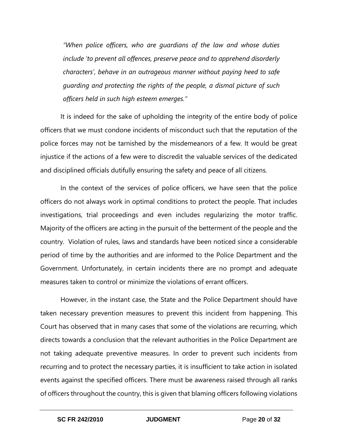*"When police officers, who are guardians of the law and whose duties include 'to prevent all offences, preserve peace and to apprehend disorderly characters', behave in an outrageous manner without paying heed to safe guarding and protecting the rights of the people, a dismal picture of such officers held in such high esteem emerges."*

It is indeed for the sake of upholding the integrity of the entire body of police officers that we must condone incidents of misconduct such that the reputation of the police forces may not be tarnished by the misdemeanors of a few. It would be great injustice if the actions of a few were to discredit the valuable services of the dedicated and disciplined officials dutifully ensuring the safety and peace of all citizens.

In the context of the services of police officers, we have seen that the police officers do not always work in optimal conditions to protect the people. That includes investigations, trial proceedings and even includes regularizing the motor traffic. Majority of the officers are acting in the pursuit of the betterment of the people and the country. Violation of rules, laws and standards have been noticed since a considerable period of time by the authorities and are informed to the Police Department and the Government. Unfortunately, in certain incidents there are no prompt and adequate measures taken to control or minimize the violations of errant officers.

However, in the instant case, the State and the Police Department should have taken necessary prevention measures to prevent this incident from happening. This Court has observed that in many cases that some of the violations are recurring, which directs towards a conclusion that the relevant authorities in the Police Department are not taking adequate preventive measures. In order to prevent such incidents from recurring and to protect the necessary parties, it is insufficient to take action in isolated events against the specified officers. There must be awareness raised through all ranks of officers throughout the country, this is given that blaming officers following violations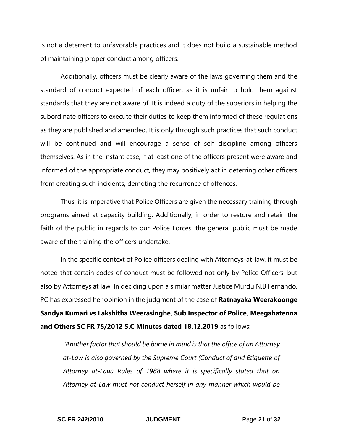is not a deterrent to unfavorable practices and it does not build a sustainable method of maintaining proper conduct among officers.

Additionally, officers must be clearly aware of the laws governing them and the standard of conduct expected of each officer, as it is unfair to hold them against standards that they are not aware of. It is indeed a duty of the superiors in helping the subordinate officers to execute their duties to keep them informed of these regulations as they are published and amended. It is only through such practices that such conduct will be continued and will encourage a sense of self discipline among officers themselves. As in the instant case, if at least one of the officers present were aware and informed of the appropriate conduct, they may positively act in deterring other officers from creating such incidents, demoting the recurrence of offences.

Thus, it is imperative that Police Officers are given the necessary training through programs aimed at capacity building. Additionally, in order to restore and retain the faith of the public in regards to our Police Forces, the general public must be made aware of the training the officers undertake.

In the specific context of Police officers dealing with Attorneys-at-law, it must be noted that certain codes of conduct must be followed not only by Police Officers, but also by Attorneys at law. In deciding upon a similar matter Justice Murdu N.B Fernando, PC has expressed her opinion in the judgment of the case of **Ratnayaka Weerakoonge Sandya Kumari vs Lakshitha Weerasinghe, Sub Inspector of Police, Meegahatenna and Others SC FR 75/2012 S.C Minutes dated 18.12.2019** as follows:

*"Another factor that should be borne in mind is that the office of an Attorney at-Law is also governed by the Supreme Court (Conduct of and Etiquette of Attorney at-Law) Rules of 1988 where it is specifically stated that on Attorney at-Law must not conduct herself in any manner which would be*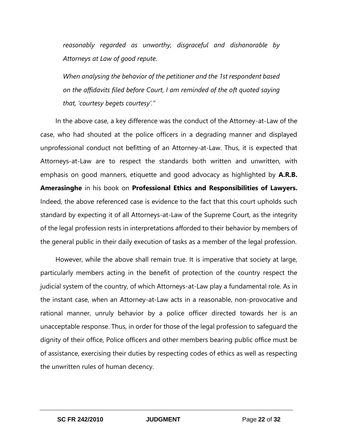*reasonably regarded as unworthy, disgraceful and dishonorable by Attorneys at Law of good repute.* 

*When analysing the behavior of the petitioner and the 1st respondent based on the affidavits filed before Court, I am reminded of the oft quoted saying that, 'courtesy begets courtesy'."*

In the above case, a key difference was the conduct of the Attorney-at-Law of the case, who had shouted at the police officers in a degrading manner and displayed unprofessional conduct not befitting of an Attorney-at-Law. Thus, it is expected that Attorneys-at-Law are to respect the standards both written and unwritten, with emphasis on good manners, etiquette and good advocacy as highlighted by **A.R.B. Amerasinghe** in his book on **Professional Ethics and Responsibilities of Lawyers.**  Indeed, the above referenced case is evidence to the fact that this court upholds such standard by expecting it of all Attorneys-at-Law of the Supreme Court, as the integrity of the legal profession rests in interpretations afforded to their behavior by members of the general public in their daily execution of tasks as a member of the legal profession.

However, while the above shall remain true. It is imperative that society at large, particularly members acting in the benefit of protection of the country respect the judicial system of the country, of which Attorneys-at-Law play a fundamental role. As in the instant case, when an Attorney-at-Law acts in a reasonable, non-provocative and rational manner, unruly behavior by a police officer directed towards her is an unacceptable response. Thus, in order for those of the legal profession to safeguard the dignity of their office, Police officers and other members bearing public office must be of assistance, exercising their duties by respecting codes of ethics as well as respecting the unwritten rules of human decency.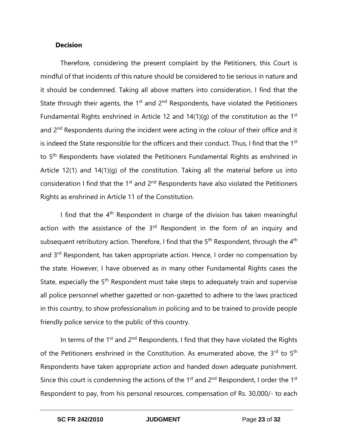#### **Decision**

Therefore, considering the present complaint by the Petitioners, this Court is mindful of that incidents of this nature should be considered to be serious in nature and it should be condemned. Taking all above matters into consideration, I find that the State through their agents, the  $1<sup>st</sup>$  and  $2<sup>nd</sup>$  Respondents, have violated the Petitioners Fundamental Rights enshrined in Article 12 and  $14(1)(q)$  of the constitution as the 1<sup>st</sup> and 2<sup>nd</sup> Respondents during the incident were acting in the colour of their office and it is indeed the State responsible for the officers and their conduct. Thus, I find that the 1<sup>st</sup> to 5<sup>th</sup> Respondents have violated the Petitioners Fundamental Rights as enshrined in Article 12(1) and 14(1)(g) of the constitution. Taking all the material before us into consideration I find that the 1<sup>st</sup> and 2<sup>nd</sup> Respondents have also violated the Petitioners Rights as enshrined in Article 11 of the Constitution.

I find that the  $4<sup>th</sup>$  Respondent in charge of the division has taken meaningful action with the assistance of the  $3<sup>rd</sup>$  Respondent in the form of an inquiry and subsequent retributory action. Therefore, I find that the  $5<sup>th</sup>$  Respondent, through the 4<sup>th</sup> and 3<sup>rd</sup> Respondent, has taken appropriate action. Hence, I order no compensation by the state. However, I have observed as in many other Fundamental Rights cases the State, especially the 5<sup>th</sup> Respondent must take steps to adequately train and supervise all police personnel whether gazetted or non-gazetted to adhere to the laws practiced in this country, to show professionalism in policing and to be trained to provide people friendly police service to the public of this country.

In terms of the  $1^{st}$  and  $2^{nd}$  Respondents, I find that they have violated the Rights of the Petitioners enshrined in the Constitution. As enumerated above, the 3rd to 5<sup>th</sup> Respondents have taken appropriate action and handed down adequate punishment. Since this court is condemning the actions of the 1<sup>st</sup> and  $2<sup>nd</sup>$  Respondent, I order the 1<sup>st</sup> Respondent to pay, from his personal resources, compensation of Rs. 30,000/- to each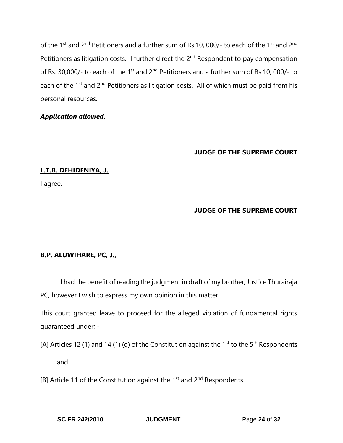of the 1<sup>st</sup> and 2<sup>nd</sup> Petitioners and a further sum of Rs.10, 000/- to each of the 1<sup>st</sup> and 2<sup>nd</sup> Petitioners as litigation costs. I further direct the  $2<sup>nd</sup>$  Respondent to pay compensation of Rs. 30,000/- to each of the 1<sup>st</sup> and 2<sup>nd</sup> Petitioners and a further sum of Rs.10, 000/- to each of the  $1^{st}$  and  $2^{nd}$  Petitioners as litigation costs. All of which must be paid from his personal resources.

## *Application allowed.*

## **JUDGE OF THE SUPREME COURT**

## **L.T.B. DEHIDENIYA, J.**

I agree.

# **JUDGE OF THE SUPREME COURT**

## **B.P. ALUWIHARE, PC, J.,**

I had the benefit of reading the judgment in draft of my brother, Justice Thurairaja PC, however I wish to express my own opinion in this matter.

This court granted leave to proceed for the alleged violation of fundamental rights guaranteed under; -

[A] Articles 12 (1) and 14 (1) (g) of the Constitution against the 1<sup>st</sup> to the 5<sup>th</sup> Respondents

and

[B] Article 11 of the Constitution against the  $1<sup>st</sup>$  and  $2<sup>nd</sup>$  Respondents.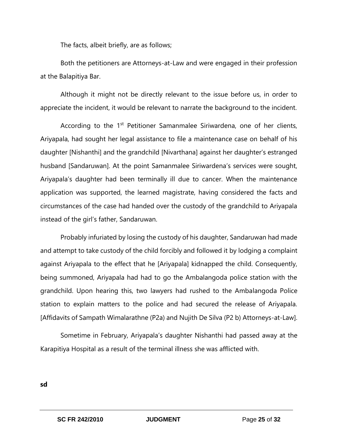The facts, albeit briefly, are as follows;

Both the petitioners are Attorneys-at-Law and were engaged in their profession at the Balapitiya Bar.

Although it might not be directly relevant to the issue before us, in order to appreciate the incident, it would be relevant to narrate the background to the incident.

According to the  $1<sup>st</sup>$  Petitioner Samanmalee Siriwardena, one of her clients, Ariyapala, had sought her legal assistance to file a maintenance case on behalf of his daughter [Nishanthi] and the grandchild [Nivarthana] against her daughter's estranged husband [Sandaruwan]. At the point Samanmalee Siriwardena's services were sought, Ariyapala's daughter had been terminally ill due to cancer. When the maintenance application was supported, the learned magistrate, having considered the facts and circumstances of the case had handed over the custody of the grandchild to Ariyapala instead of the girl's father, Sandaruwan.

Probably infuriated by losing the custody of his daughter, Sandaruwan had made and attempt to take custody of the child forcibly and followed it by lodging a complaint against Ariyapala to the effect that he [Ariyapala] kidnapped the child. Consequently, being summoned, Ariyapala had had to go the Ambalangoda police station with the grandchild. Upon hearing this, two lawyers had rushed to the Ambalangoda Police station to explain matters to the police and had secured the release of Ariyapala. [Affidavits of Sampath Wimalarathne (P2a) and Nujith De Silva (P2 b) Attorneys-at-Law].

Sometime in February, Ariyapala's daughter Nishanthi had passed away at the Karapitiya Hospital as a result of the terminal illness she was afflicted with.

**sd**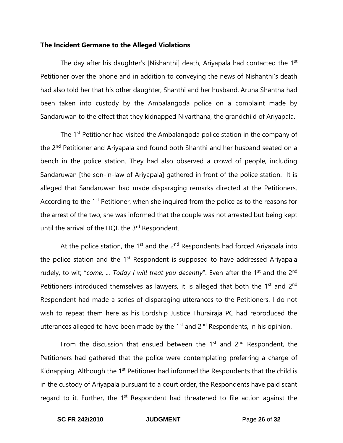#### **The Incident Germane to the Alleged Violations**

The day after his daughter's [Nishanthi] death, Ariyapala had contacted the 1<sup>st</sup> Petitioner over the phone and in addition to conveying the news of Nishanthi's death had also told her that his other daughter, Shanthi and her husband, Aruna Shantha had been taken into custody by the Ambalangoda police on a complaint made by Sandaruwan to the effect that they kidnapped Nivarthana, the grandchild of Ariyapala.

The 1<sup>st</sup> Petitioner had visited the Ambalangoda police station in the company of the 2nd Petitioner and Ariyapala and found both Shanthi and her husband seated on a bench in the police station. They had also observed a crowd of people, including Sandaruwan [the son-in-law of Ariyapala] gathered in front of the police station. It is alleged that Sandaruwan had made disparaging remarks directed at the Petitioners. According to the 1<sup>st</sup> Petitioner, when she inquired from the police as to the reasons for the arrest of the two, she was informed that the couple was not arrested but being kept until the arrival of the HQI, the 3<sup>rd</sup> Respondent.

At the police station, the  $1<sup>st</sup>$  and the  $2<sup>nd</sup>$  Respondents had forced Ariyapala into the police station and the  $1<sup>st</sup>$  Respondent is supposed to have addressed Ariyapala rudely, to wit; "come, ... Today I will treat you decently". Even after the 1<sup>st</sup> and the 2<sup>nd</sup> Petitioners introduced themselves as lawyers, it is alleged that both the 1<sup>st</sup> and 2<sup>nd</sup> Respondent had made a series of disparaging utterances to the Petitioners. I do not wish to repeat them here as his Lordship Justice Thurairaja PC had reproduced the utterances alleged to have been made by the  $1<sup>st</sup>$  and  $2<sup>nd</sup>$  Respondents, in his opinion.

From the discussion that ensued between the  $1<sup>st</sup>$  and  $2<sup>nd</sup>$  Respondent, the Petitioners had gathered that the police were contemplating preferring a charge of Kidnapping. Although the 1<sup>st</sup> Petitioner had informed the Respondents that the child is in the custody of Ariyapala pursuant to a court order, the Respondents have paid scant regard to it. Further, the  $1<sup>st</sup>$  Respondent had threatened to file action against the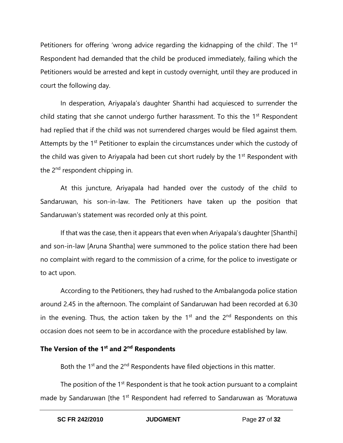Petitioners for offering 'wrong advice regarding the kidnapping of the child'. The 1<sup>st</sup> Respondent had demanded that the child be produced immediately, failing which the Petitioners would be arrested and kept in custody overnight, until they are produced in court the following day.

In desperation, Ariyapala's daughter Shanthi had acquiesced to surrender the child stating that she cannot undergo further harassment. To this the  $1<sup>st</sup>$  Respondent had replied that if the child was not surrendered charges would be filed against them. Attempts by the 1<sup>st</sup> Petitioner to explain the circumstances under which the custody of the child was given to Ariyapala had been cut short rudely by the 1<sup>st</sup> Respondent with the 2<sup>nd</sup> respondent chipping in.

At this juncture, Ariyapala had handed over the custody of the child to Sandaruwan, his son-in-law. The Petitioners have taken up the position that Sandaruwan's statement was recorded only at this point.

If that was the case, then it appears that even when Ariyapala's daughter [Shanthi] and son-in-law [Aruna Shantha] were summoned to the police station there had been no complaint with regard to the commission of a crime, for the police to investigate or to act upon.

According to the Petitioners, they had rushed to the Ambalangoda police station around 2.45 in the afternoon. The complaint of Sandaruwan had been recorded at 6.30 in the evening. Thus, the action taken by the  $1<sup>st</sup>$  and the  $2<sup>nd</sup>$  Respondents on this occasion does not seem to be in accordance with the procedure established by law.

# **The Version of the 1st and 2nd Respondents**

Both the 1<sup>st</sup> and the 2<sup>nd</sup> Respondents have filed objections in this matter.

The position of the  $1<sup>st</sup>$  Respondent is that he took action pursuant to a complaint made by Sandaruwan [the 1<sup>st</sup> Respondent had referred to Sandaruwan as 'Moratuwa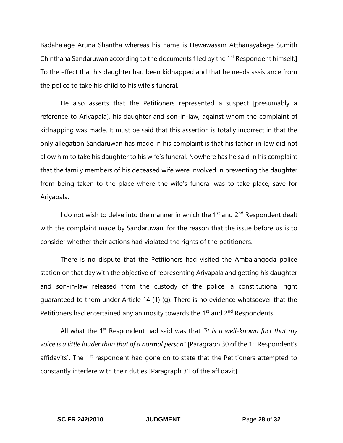Badahalage Aruna Shantha whereas his name is Hewawasam Atthanayakage Sumith Chinthana Sandaruwan according to the documents filed by the 1<sup>st</sup> Respondent himself.] To the effect that his daughter had been kidnapped and that he needs assistance from the police to take his child to his wife's funeral.

He also asserts that the Petitioners represented a suspect [presumably a reference to Ariyapala], his daughter and son-in-law, against whom the complaint of kidnapping was made. It must be said that this assertion is totally incorrect in that the only allegation Sandaruwan has made in his complaint is that his father-in-law did not allow him to take his daughter to his wife's funeral. Nowhere has he said in his complaint that the family members of his deceased wife were involved in preventing the daughter from being taken to the place where the wife's funeral was to take place, save for Ariyapala.

I do not wish to delve into the manner in which the 1<sup>st</sup> and 2<sup>nd</sup> Respondent dealt with the complaint made by Sandaruwan, for the reason that the issue before us is to consider whether their actions had violated the rights of the petitioners.

There is no dispute that the Petitioners had visited the Ambalangoda police station on that day with the objective of representing Ariyapala and getting his daughter and son-in-law released from the custody of the police, a constitutional right guaranteed to them under Article 14 (1) (g). There is no evidence whatsoever that the Petitioners had entertained any animosity towards the  $1<sup>st</sup>$  and  $2<sup>nd</sup>$  Respondents.

All what the 1st Respondent had said was that *"it is a well-known fact that my voice is a little louder than that of a normal person"* [Paragraph 30 of the 1<sup>st</sup> Respondent's affidavits]. The 1<sup>st</sup> respondent had gone on to state that the Petitioners attempted to constantly interfere with their duties [Paragraph 31 of the affidavit].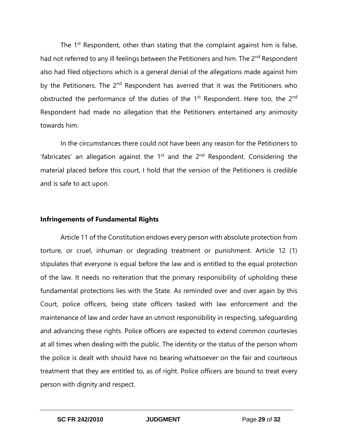The  $1<sup>st</sup>$  Respondent, other than stating that the complaint against him is false, had not referred to any ill feelings between the Petitioners and him. The 2<sup>nd</sup> Respondent also had filed objections which is a general denial of the allegations made against him by the Petitioners. The  $2<sup>nd</sup>$  Respondent has averred that it was the Petitioners who obstructed the performance of the duties of the  $1<sup>st</sup>$  Respondent. Here too, the  $2<sup>nd</sup>$ Respondent had made no allegation that the Petitioners entertained any animosity towards him.

In the circumstances there could not have been any reason for the Petitioners to 'fabricates' an allegation against the  $1<sup>st</sup>$  and the  $2<sup>nd</sup>$  Respondent. Considering the material placed before this court, I hold that the version of the Petitioners is credible and is safe to act upon.

#### **Infringements of Fundamental Rights**

Article 11 of the Constitution endows every person with absolute protection from torture, or cruel, inhuman or degrading treatment or punishment. Article 12 (1) stipulates that everyone is equal before the law and is entitled to the equal protection of the law. It needs no reiteration that the primary responsibility of upholding these fundamental protections lies with the State. As reminded over and over again by this Court, police officers, being state officers tasked with law enforcement and the maintenance of law and order have an utmost responsibility in respecting, safeguarding and advancing these rights. Police officers are expected to extend common courtesies at all times when dealing with the public. The identity or the status of the person whom the police is dealt with should have no bearing whatsoever on the fair and courteous treatment that they are entitled to, as of right. Police officers are bound to treat every person with dignity and respect.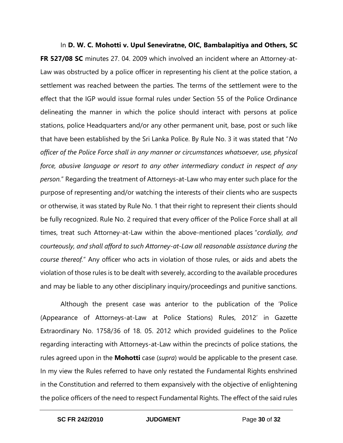In **D. W. C. Mohotti v. Upul Seneviratne, OIC, Bambalapitiya and Others, SC FR 527/08 SC** minutes 27. 04. 2009 which involved an incident where an Attorney-at-Law was obstructed by a police officer in representing his client at the police station, a settlement was reached between the parties. The terms of the settlement were to the effect that the IGP would issue formal rules under Section 55 of the Police Ordinance delineating the manner in which the police should interact with persons at police stations, police Headquarters and/or any other permanent unit, base, post or such like that have been established by the Sri Lanka Police. By Rule No. 3 it was stated that "*No officer of the Police Force shall in any manner or circumstances whatsoever, use, physical force, abusive language or resort to any other intermediary conduct in respect of any person.*" Regarding the treatment of Attorneys-at-Law who may enter such place for the purpose of representing and/or watching the interests of their clients who are suspects or otherwise, it was stated by Rule No. 1 that their right to represent their clients should be fully recognized. Rule No. 2 required that every officer of the Police Force shall at all times, treat such Attorney-at-Law within the above-mentioned places "*cordially, and courteously, and shall afford to such Attorney-at-Law all reasonable assistance during the course thereof.*" Any officer who acts in violation of those rules, or aids and abets the violation of those rules is to be dealt with severely, according to the available procedures and may be liable to any other disciplinary inquiry/proceedings and punitive sanctions.

Although the present case was anterior to the publication of the 'Police (Appearance of Attorneys-at-Law at Police Stations) Rules, 2012' in Gazette Extraordinary No. 1758/36 of 18. 05. 2012 which provided guidelines to the Police regarding interacting with Attorneys-at-Law within the precincts of police stations, the rules agreed upon in the **Mohotti** case (*supra*) would be applicable to the present case. In my view the Rules referred to have only restated the Fundamental Rights enshrined in the Constitution and referred to them expansively with the objective of enlightening the police officers of the need to respect Fundamental Rights. The effect of the said rules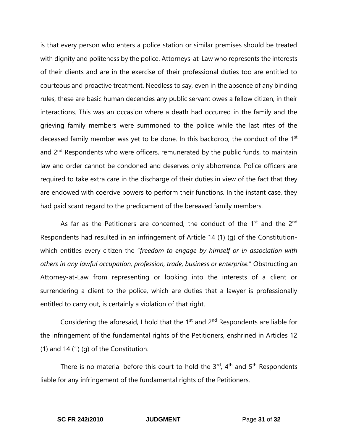is that every person who enters a police station or similar premises should be treated with dignity and politeness by the police. Attorneys-at-Law who represents the interests of their clients and are in the exercise of their professional duties too are entitled to courteous and proactive treatment. Needless to say, even in the absence of any binding rules, these are basic human decencies any public servant owes a fellow citizen, in their interactions. This was an occasion where a death had occurred in the family and the grieving family members were summoned to the police while the last rites of the deceased family member was yet to be done. In this backdrop, the conduct of the 1<sup>st</sup> and 2<sup>nd</sup> Respondents who were officers, remunerated by the public funds, to maintain law and order cannot be condoned and deserves only abhorrence. Police officers are required to take extra care in the discharge of their duties in view of the fact that they are endowed with coercive powers to perform their functions. In the instant case, they had paid scant regard to the predicament of the bereaved family members.

As far as the Petitioners are concerned, the conduct of the  $1<sup>st</sup>$  and the  $2<sup>nd</sup>$ Respondents had resulted in an infringement of Article 14 (1) (g) of the Constitutionwhich entitles every citizen the "*freedom to engage by himself or in association with others in any lawful occupation, profession, trade, business or enterprise.*" Obstructing an Attorney-at-Law from representing or looking into the interests of a client or surrendering a client to the police, which are duties that a lawyer is professionally entitled to carry out, is certainly a violation of that right.

Considering the aforesaid, I hold that the  $1<sup>st</sup>$  and  $2<sup>nd</sup>$  Respondents are liable for the infringement of the fundamental rights of the Petitioners, enshrined in Articles 12 (1) and 14 $(1)$  $(q)$  of the Constitution.

There is no material before this court to hold the  $3<sup>rd</sup>$ ,  $4<sup>th</sup>$  and  $5<sup>th</sup>$  Respondents liable for any infringement of the fundamental rights of the Petitioners.